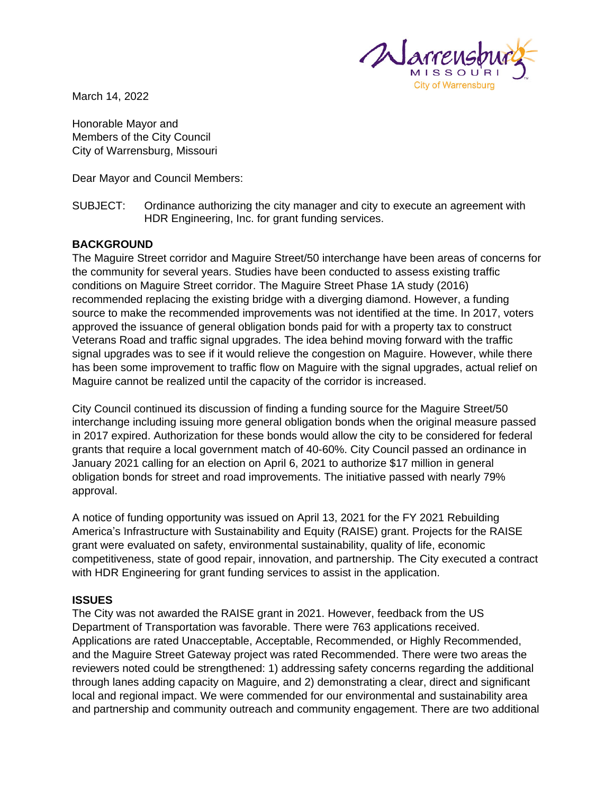

March 14, 2022

Honorable Mayor and Members of the City Council City of Warrensburg, Missouri

Dear Mayor and Council Members:

#### SUBJECT: Ordinance authorizing the city manager and city to execute an agreement with HDR Engineering, Inc. for grant funding services.

### **BACKGROUND**

The Maguire Street corridor and Maguire Street/50 interchange have been areas of concerns for the community for several years. Studies have been conducted to assess existing traffic conditions on Maguire Street corridor. The Maguire Street Phase 1A study (2016) recommended replacing the existing bridge with a diverging diamond. However, a funding source to make the recommended improvements was not identified at the time. In 2017, voters approved the issuance of general obligation bonds paid for with a property tax to construct Veterans Road and traffic signal upgrades. The idea behind moving forward with the traffic signal upgrades was to see if it would relieve the congestion on Maguire. However, while there has been some improvement to traffic flow on Maguire with the signal upgrades, actual relief on Maguire cannot be realized until the capacity of the corridor is increased.

City Council continued its discussion of finding a funding source for the Maguire Street/50 interchange including issuing more general obligation bonds when the original measure passed in 2017 expired. Authorization for these bonds would allow the city to be considered for federal grants that require a local government match of 40-60%. City Council passed an ordinance in January 2021 calling for an election on April 6, 2021 to authorize \$17 million in general obligation bonds for street and road improvements. The initiative passed with nearly 79% approval.

A notice of funding opportunity was issued on April 13, 2021 for the FY 2021 Rebuilding America's Infrastructure with Sustainability and Equity (RAISE) grant. Projects for the RAISE grant were evaluated on safety, environmental sustainability, quality of life, economic competitiveness, state of good repair, innovation, and partnership. The City executed a contract with HDR Engineering for grant funding services to assist in the application.

#### **ISSUES**

The City was not awarded the RAISE grant in 2021. However, feedback from the US Department of Transportation was favorable. There were 763 applications received. Applications are rated Unacceptable, Acceptable, Recommended, or Highly Recommended, and the Maguire Street Gateway project was rated Recommended. There were two areas the reviewers noted could be strengthened: 1) addressing safety concerns regarding the additional through lanes adding capacity on Maguire, and 2) demonstrating a clear, direct and significant local and regional impact. We were commended for our environmental and sustainability area and partnership and community outreach and community engagement. There are two additional